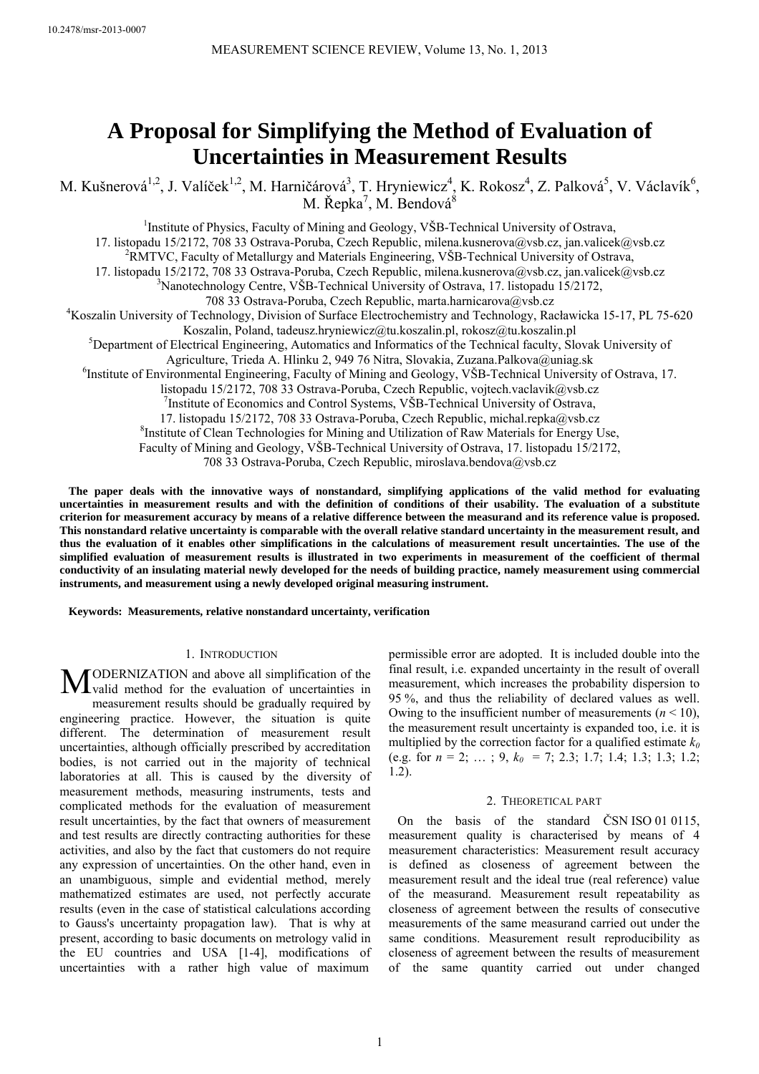# **A Proposal for Simplifying the Method of Evaluation of Uncertainties in Measurement Results**

M. Kušnerová<sup>1,2</sup>, J. Valíček<sup>1,2</sup>, M. Harničárová<sup>3</sup>, T. Hryniewicz<sup>4</sup>, K. Rokosz<sup>4</sup>, Z. Palková<sup>5</sup>, V. Václavík<sup>6</sup>, M. Řepka<sup>7</sup>, M. Bendová $^8$ 

<sup>1</sup>Institute of Physics, Faculty of Mining and Geology, VŠB-Technical University of Ostrava, 17. listopadu 15/2172, 708 33 Ostrava-Poruba, Czech Republic, milena.kusnerova@vsb.cz, jan.valicek@vsb.cz <sup>2</sup>RMTVC, Faculty of Metallurgy and Materials Engineering, VŠB-Technical University of Ostrava, 17. listopadu 15/2172, 708 33 Ostrava-Poruba, Czech Republic, milena.kusnerova@vsb.cz, jan.valicek@vsb.cz 3 <sup>3</sup>Nanotechnology Centre, VŠB-Technical University of Ostrava, 17. listopadu 15/2172, 708 33 Ostrava-Poruba, Czech Republic, marta.harnicarova@vsb.cz 4 <sup>4</sup>Koszalin University of Technology, Division of Surface Electrochemistry and Technology, Racławicka 15-17, PL 75-620 Koszalin, Poland, tadeusz.hryniewicz@tu.koszalin.pl, rokosz@tu.koszalin.pl 5 <sup>5</sup>Department of Electrical Engineering, Automatics and Informatics of the Technical faculty, Slovak University of Agriculture, Trieda A. Hlinku 2, 949 76 Nitra, Slovakia, Zuzana.Palkova@uniag.sk 6 <sup>6</sup>Institute of Environmental Engineering, Faculty of Mining and Geology, VŠB-Technical University of Ostrava, 17. listopadu 15/2172, 708 33 Ostrava-Poruba, Czech Republic, vojtech.vaclavik@vsb.cz Institute of Economics and Control Systems, VŠB-Technical University of Ostrava, 17. listopadu 15/2172, 708 33 Ostrava-Poruba, Czech Republic, michal.repka@vsb.cz 8 <sup>8</sup> Institute of Clean Technologies for Mining and Utilization of Raw Materials for Energy Use, Faculty of Mining and Geology, VŠB-Technical University of Ostrava, 17. listopadu 15/2172,

708 33 Ostrava-Poruba, Czech Republic, miroslava.bendova@vsb.cz

**The paper deals with the innovative ways of nonstandard, simplifying applications of the valid method for evaluating uncertainties in measurement results and with the definition of conditions of their usability. The evaluation of a substitute criterion for measurement accuracy by means of a relative difference between the measurand and its reference value is proposed. This nonstandard relative uncertainty is comparable with the overall relative standard uncertainty in the measurement result, and thus the evaluation of it enables other simplifications in the calculations of measurement result uncertainties. The use of the simplified evaluation of measurement results is illustrated in two experiments in measurement of the coefficient of thermal conductivity of an insulating material newly developed for the needs of building practice, namely measurement using commercial instruments, and measurement using a newly developed original measuring instrument.** 

**Keywords: Measurements, relative nonstandard uncertainty, verification** 

#### 1. INTRODUCTION

ODERNIZATION and above all simplification of the **M**ODERNIZATION and above all simplification of the valuation of uncertainties in measurement results should be gradually required by engineering practice. However, the situation is quite different. The determination of measurement result uncertainties, although officially prescribed by accreditation bodies, is not carried out in the majority of technical laboratories at all. This is caused by the diversity of measurement methods, measuring instruments, tests and complicated methods for the evaluation of measurement result uncertainties, by the fact that owners of measurement and test results are directly contracting authorities for these activities, and also by the fact that customers do not require any expression of uncertainties. On the other hand, even in an unambiguous, simple and evidential method, merely mathematized estimates are used, not perfectly accurate results (even in the case of statistical calculations according to Gauss's uncertainty propagation law). That is why at present, according to basic documents on metrology valid in the EU countries and USA [1-4], modifications of uncertainties with a rather high value of maximum

permissible error are adopted. It is included double into the final result, i.e. expanded uncertainty in the result of overall measurement, which increases the probability dispersion to 95 %, and thus the reliability of declared values as well. Owing to the insufficient number of measurements  $(n < 10)$ , the measurement result uncertainty is expanded too, i.e. it is multiplied by the correction factor for a qualified estimate  $k_0$ (e.g. for  $n = 2$ ; ...; 9,  $k_0 = 7$ ; 2.3; 1.7; 1.4; 1.3; 1.3; 1.2; 1.2).

#### 2. THEORETICAL PART

On the basis of the standard ČSN ISO 01 0115, measurement quality is characterised by means of 4 measurement characteristics: Measurement result accuracy is defined as closeness of agreement between the measurement result and the ideal true (real reference) value of the measurand. Measurement result repeatability as closeness of agreement between the results of consecutive measurements of the same measurand carried out under the same conditions. Measurement result reproducibility as closeness of agreement between the results of measurement of the same quantity carried out under changed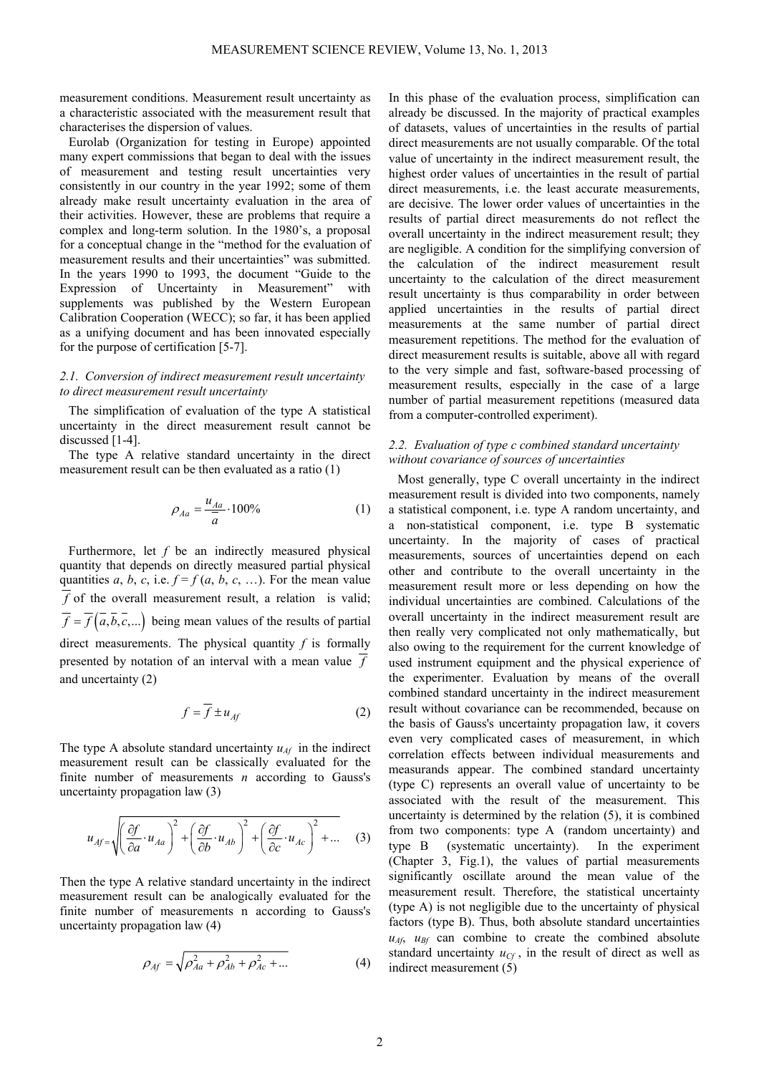measurement conditions. Measurement result uncertainty as a characteristic associated with the measurement result that characterises the dispersion of values.

Eurolab (Organization for testing in Europe) appointed many expert commissions that began to deal with the issues of measurement and testing result uncertainties very consistently in our country in the year 1992; some of them already make result uncertainty evaluation in the area of their activities. However, these are problems that require a complex and long-term solution. In the 1980's, a proposal for a conceptual change in the "method for the evaluation of measurement results and their uncertainties" was submitted. In the years 1990 to 1993, the document "Guide to the Expression of Uncertainty in Measurement" with supplements was published by the Western European Calibration Cooperation (WECC); so far, it has been applied as a unifying document and has been innovated especially for the purpose of certification [5-7].

## *2.1. Conversion of indirect measurement result uncertainty to direct measurement result uncertainty*

The simplification of evaluation of the type A statistical uncertainty in the direct measurement result cannot be discussed [1-4].

The type A relative standard uncertainty in the direct measurement result can be then evaluated as a ratio (1)

$$
\rho_{Aa} = \frac{u_{Aa}}{\bar{a}} \cdot 100\% \tag{1}
$$

Furthermore, let *f* be an indirectly measured physical quantity that depends on directly measured partial physical quantities *a*, *b*, *c*, i.e.  $f = f(a, b, c, ...)$ . For the mean value  $\overline{f}$  of the overall measurement result, a relation is valid;  $\overline{f} = \overline{f}(\overline{a}, \overline{b}, \overline{c}, ...)$  being mean values of the results of partial direct measurements. The physical quantity *f* is formally presented by notation of an interval with a mean value *f* and uncertainty (2)

$$
f = \overline{f} \pm u_{Af} \tag{2}
$$

The type A absolute standard uncertainty  $u_{\mathcal{A}f}$  in the indirect measurement result can be classically evaluated for the finite number of measurements *n* according to Gauss's uncertainty propagation law (3)

$$
u_{A f} = \sqrt{\left(\frac{\partial f}{\partial a} \cdot u_{A a}\right)^2 + \left(\frac{\partial f}{\partial b} \cdot u_{A b}\right)^2 + \left(\frac{\partial f}{\partial c} \cdot u_{A c}\right)^2 + \dots} \quad (3)
$$

Then the type A relative standard uncertainty in the indirect measurement result can be analogically evaluated for the finite number of measurements n according to Gauss's uncertainty propagation law (4)

$$
\rho_{Af} = \sqrt{\rho_{Aa}^2 + \rho_{Ab}^2 + \rho_{Ac}^2 + \dots}
$$
 (4)

In this phase of the evaluation process, simplification can already be discussed. In the majority of practical examples of datasets, values of uncertainties in the results of partial direct measurements are not usually comparable. Of the total value of uncertainty in the indirect measurement result, the highest order values of uncertainties in the result of partial direct measurements, i.e. the least accurate measurements, are decisive. The lower order values of uncertainties in the results of partial direct measurements do not reflect the overall uncertainty in the indirect measurement result; they are negligible. A condition for the simplifying conversion of the calculation of the indirect measurement result uncertainty to the calculation of the direct measurement result uncertainty is thus comparability in order between applied uncertainties in the results of partial direct measurements at the same number of partial direct measurement repetitions. The method for the evaluation of direct measurement results is suitable, above all with regard to the very simple and fast, software-based processing of measurement results, especially in the case of a large number of partial measurement repetitions (measured data from a computer-controlled experiment).

## *2.2. Evaluation of type c combined standard uncertainty without covariance of sources of uncertainties*

Most generally, type C overall uncertainty in the indirect measurement result is divided into two components, namely a statistical component, i.e. type A random uncertainty, and a non-statistical component, i.e. type B systematic uncertainty. In the majority of cases of practical measurements, sources of uncertainties depend on each other and contribute to the overall uncertainty in the measurement result more or less depending on how the individual uncertainties are combined. Calculations of the overall uncertainty in the indirect measurement result are then really very complicated not only mathematically, but also owing to the requirement for the current knowledge of used instrument equipment and the physical experience of the experimenter. Evaluation by means of the overall combined standard uncertainty in the indirect measurement result without covariance can be recommended, because on the basis of Gauss's uncertainty propagation law, it covers even very complicated cases of measurement, in which correlation effects between individual measurements and measurands appear. The combined standard uncertainty (type C) represents an overall value of uncertainty to be associated with the result of the measurement. This uncertainty is determined by the relation (5), it is combined from two components: type A (random uncertainty) and type B (systematic uncertainty). In the experiment (Chapter 3, Fig.1), the values of partial measurements significantly oscillate around the mean value of the measurement result. Therefore, the statistical uncertainty (type A) is not negligible due to the uncertainty of physical factors (type B). Thus, both absolute standard uncertainties  $u_{A}$ ,  $u_{B}$  can combine to create the combined absolute standard uncertainty  $u_{Cf}$ , in the result of direct as well as indirect measurement (5)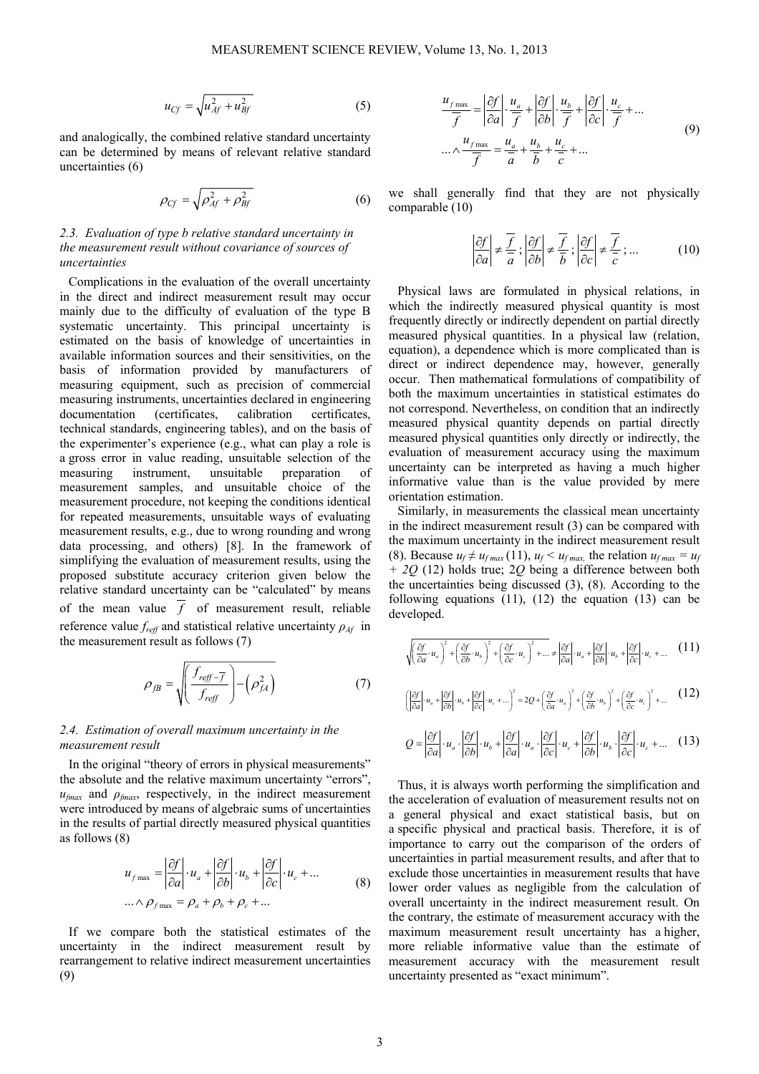$$
u_{Cf} = \sqrt{u_{Af}^2 + u_{Bf}^2}
$$
 (5)

and analogically, the combined relative standard uncertainty can be determined by means of relevant relative standard uncertainties (6)

$$
\rho_{Cf} = \sqrt{\rho_{Af}^2 + \rho_{Bf}^2} \tag{6}
$$

## *2.3. Evaluation of type b relative standard uncertainty in the measurement result without covariance of sources of uncertainties*

Complications in the evaluation of the overall uncertainty in the direct and indirect measurement result may occur mainly due to the difficulty of evaluation of the type B systematic uncertainty. This principal uncertainty is estimated on the basis of knowledge of uncertainties in available information sources and their sensitivities, on the basis of information provided by manufacturers of measuring equipment, such as precision of commercial measuring instruments, uncertainties declared in engineering documentation (certificates, calibration certificates, technical standards, engineering tables), and on the basis of the experimenter's experience (e.g., what can play a role is a gross error in value reading, unsuitable selection of the measuring instrument, unsuitable preparation of measurement samples, and unsuitable choice of the measurement procedure, not keeping the conditions identical for repeated measurements, unsuitable ways of evaluating measurement results, e.g., due to wrong rounding and wrong data processing, and others) [8]. In the framework of simplifying the evaluation of measurement results, using the proposed substitute accuracy criterion given below the relative standard uncertainty can be "calculated" by means of the mean value  $\overline{f}$  of measurement result, reliable reference value  $f_{reff}$  and statistical relative uncertainty  $\rho_{Af}$  in the measurement result as follows (7)

$$
\rho_{fB} = \sqrt{\left(\frac{f_{reff} - \overline{f}}{f_{reff}}\right) - \left(\rho_{fA}^2\right)}
$$
(7)

## *2.4. Estimation of overall maximum uncertainty in the measurement result*

In the original "theory of errors in physical measurements" the absolute and the relative maximum uncertainty "errors", *ufmax* and *ρfmax*, respectively, in the indirect measurement were introduced by means of algebraic sums of uncertainties in the results of partial directly measured physical quantities as follows (8)

$$
u_{f \text{ max}} = \left| \frac{\partial f}{\partial a} \right| \cdot u_a + \left| \frac{\partial f}{\partial b} \right| \cdot u_b + \left| \frac{\partial f}{\partial c} \right| \cdot u_c + \dots
$$
  

$$
\dots \wedge \rho_{f \text{ max}} = \rho_a + \rho_b + \rho_c + \dots
$$
 (8)

If we compare both the statistical estimates of the uncertainty in the indirect measurement result by rearrangement to relative indirect measurement uncertainties (9)

$$
\frac{u_{f\max}}{\overline{f}} = \left| \frac{\partial f}{\partial a} \right| \cdot \frac{u_a}{\overline{f}} + \left| \frac{\partial f}{\partial b} \right| \cdot \frac{u_b}{\overline{f}} + \left| \frac{\partial f}{\partial c} \right| \cdot \frac{u_c}{\overline{f}} + \dots
$$
\n
$$
\dots \wedge \frac{u_{f\max}}{\overline{f}} = \frac{u_a}{\overline{a}} + \frac{u_b}{\overline{b}} + \frac{u_c}{\overline{c}} + \dots
$$
\n(9)

we shall generally find that they are not physically comparable (10)

$$
\left|\frac{\partial f}{\partial a}\right| \neq \frac{\overline{f}}{a}; \left|\frac{\partial f}{\partial b}\right| \neq \frac{\overline{f}}{b}; \left|\frac{\partial f}{\partial c}\right| \neq \frac{\overline{f}}{c}; \dots \tag{10}
$$

Physical laws are formulated in physical relations, in which the indirectly measured physical quantity is most frequently directly or indirectly dependent on partial directly measured physical quantities. In a physical law (relation, equation), a dependence which is more complicated than is direct or indirect dependence may, however, generally occur. Then mathematical formulations of compatibility of both the maximum uncertainties in statistical estimates do not correspond. Nevertheless, on condition that an indirectly measured physical quantity depends on partial directly measured physical quantities only directly or indirectly, the evaluation of measurement accuracy using the maximum uncertainty can be interpreted as having a much higher informative value than is the value provided by mere orientation estimation.

Similarly, in measurements the classical mean uncertainty in the indirect measurement result (3) can be compared with the maximum uncertainty in the indirect measurement result (8). Because  $u_f \neq u_{fmax}(11)$ ,  $u_f < u_{fmax}$ , the relation  $u_{fmax} = u_f$ *+ 2Q* (12) holds true; 2*Q* being a difference between both the uncertainties being discussed (3), (8). According to the following equations  $(11)$ ,  $(12)$  the equation  $(13)$  can be developed.

$$
\sqrt{\left(\frac{\partial f}{\partial a}\cdot u_a\right)^2 + \left(\frac{\partial f}{\partial b}\cdot u_b\right)^2 + \left(\frac{\partial f}{\partial c}\cdot u_c\right)^2 + \dots} \neq \left|\frac{\partial f}{\partial a}\right| \cdot u_a + \left|\frac{\partial f}{\partial b}\right| \cdot u_b + \left|\frac{\partial f}{\partial c}\right| \cdot u_c + \dots \quad (11)
$$

$$
\left(\left|\frac{\partial f}{\partial a}\right| \cdot u_a + \left|\frac{\partial f}{\partial b}\right| \cdot u_b + \left|\frac{\partial f}{\partial c}\right| \cdot u_c + \dots\right)^2 = 2Q + \left(\frac{\partial f}{\partial a} \cdot u_a\right)^2 + \left(\frac{\partial f}{\partial b} \cdot u_b\right)^2 + \left(\frac{\partial f}{\partial c} \cdot u_c\right)^2 + \dots \tag{12}
$$

$$
Q = \left| \frac{\partial f}{\partial a} \right| \cdot u_a \cdot \left| \frac{\partial f}{\partial b} \right| \cdot u_b + \left| \frac{\partial f}{\partial a} \right| \cdot u_a \cdot \left| \frac{\partial f}{\partial c} \right| \cdot u_c + \left| \frac{\partial f}{\partial b} \right| \cdot u_b \cdot \left| \frac{\partial f}{\partial c} \right| \cdot u_c + \dots \quad (13)
$$

Thus, it is always worth performing the simplification and the acceleration of evaluation of measurement results not on a general physical and exact statistical basis, but on a specific physical and practical basis. Therefore, it is of importance to carry out the comparison of the orders of uncertainties in partial measurement results, and after that to exclude those uncertainties in measurement results that have lower order values as negligible from the calculation of overall uncertainty in the indirect measurement result. On the contrary, the estimate of measurement accuracy with the maximum measurement result uncertainty has a higher, more reliable informative value than the estimate of measurement accuracy with the measurement result uncertainty presented as "exact minimum".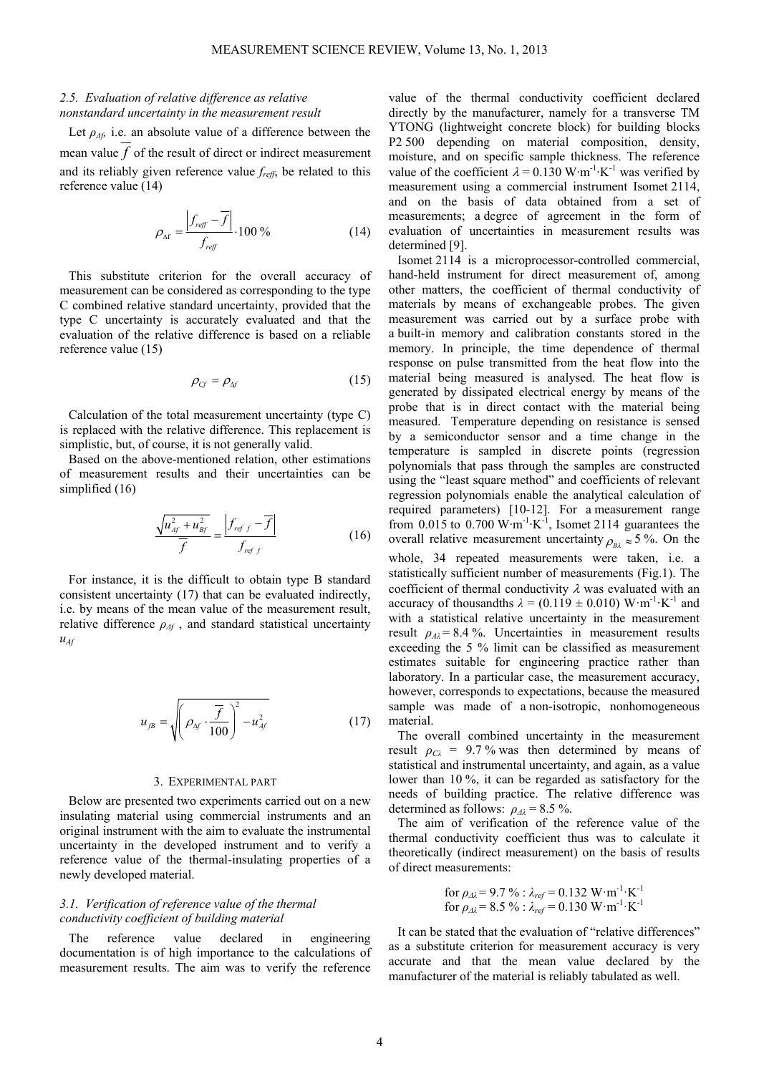## *2.5. Evaluation of relative difference as relative nonstandard uncertainty in the measurement result*

Let  $\rho_{\Delta f}$  i.e. an absolute value of a difference between the mean value  $f$  of the result of direct or indirect measurement and its reliably given reference value *freff*, be related to this reference value (14)

$$
\rho_{\Delta f} = \frac{\left| f_{\text{reff}} - \overline{f} \right|}{f_{\text{reff}}} \cdot 100\,\%
$$
\n(14)

This substitute criterion for the overall accuracy of measurement can be considered as corresponding to the type C combined relative standard uncertainty, provided that the type C uncertainty is accurately evaluated and that the evaluation of the relative difference is based on a reliable reference value (15)

$$
\rho_{Cf} = \rho_{\Delta f} \tag{15}
$$

Calculation of the total measurement uncertainty (type C) is replaced with the relative difference. This replacement is simplistic, but, of course, it is not generally valid.

Based on the above-mentioned relation, other estimations of measurement results and their uncertainties can be simplified (16)

$$
\frac{\sqrt{u_{Af}^2 + u_{Bf}^2}}{\overline{f}} = \frac{\left|f_{ref\ f} - \overline{f}\right|}{f_{ref\ f}}
$$
(16)

For instance, it is the difficult to obtain type B standard consistent uncertainty (17) that can be evaluated indirectly, i.e. by means of the mean value of the measurement result, relative difference  $\rho_{\Delta f}$ , and standard statistical uncertainty  $u_{\mathcal{M}}$ 

$$
u_{jB} = \sqrt{\left(\rho_{\Delta f} \cdot \frac{\overline{f}}{100}\right)^2 - u_{A f}^2}
$$
 (17)

#### 3. EXPERIMENTAL PART

Below are presented two experiments carried out on a new insulating material using commercial instruments and an original instrument with the aim to evaluate the instrumental uncertainty in the developed instrument and to verify a reference value of the thermal-insulating properties of a newly developed material.

## *3.1. Verification of reference value of the thermal conductivity coefficient of building material*

The reference value declared in engineering documentation is of high importance to the calculations of measurement results. The aim was to verify the reference

value of the thermal conductivity coefficient declared directly by the manufacturer, namely for a transverse TM YTONG (lightweight concrete block) for building blocks P2 500 depending on material composition, density, moisture, and on specific sample thickness. The reference value of the coefficient  $\lambda = 0.130 \,\mathrm{W} \cdot \mathrm{m}^{-1} \cdot \mathrm{K}^{-1}$  was verified by measurement using a commercial instrument Isomet 2114, and on the basis of data obtained from a set of measurements; a degree of agreement in the form of evaluation of uncertainties in measurement results was determined [9].

Isomet 2114 is a microprocessor-controlled commercial, hand-held instrument for direct measurement of, among other matters, the coefficient of thermal conductivity of materials by means of exchangeable probes. The given measurement was carried out by a surface probe with a built-in memory and calibration constants stored in the memory. In principle, the time dependence of thermal response on pulse transmitted from the heat flow into the material being measured is analysed. The heat flow is generated by dissipated electrical energy by means of the probe that is in direct contact with the material being measured. Temperature depending on resistance is sensed by a semiconductor sensor and a time change in the temperature is sampled in discrete points (regression polynomials that pass through the samples are constructed using the "least square method" and coefficients of relevant regression polynomials enable the analytical calculation of required parameters) [10-12]. For a measurement range from  $0.015$  to  $0.700$  W·m<sup>-1</sup>·K<sup>-1</sup>, Isomet 2114 guarantees the overall relative measurement uncertainty  $\rho_{B_2} \approx 5$  %. On the whole, 34 repeated measurements were taken, i.e. a statistically sufficient number of measurements (Fig.1). The coefficient of thermal conductivity  $\lambda$  was evaluated with an accuracy of thousandths  $\lambda = (0.119 \pm 0.010) \text{ W} \cdot \text{m}^{-1} \cdot \text{K}^{-1}$  and with a statistical relative uncertainty in the measurement result  $\rho_{A\lambda}$  = 8.4 %. Uncertainties in measurement results exceeding the 5 % limit can be classified as measurement estimates suitable for engineering practice rather than laboratory. In a particular case, the measurement accuracy,

however, corresponds to expectations, because the measured sample was made of a non-isotropic, nonhomogeneous material.

The overall combined uncertainty in the measurement result  $\rho_{C\lambda}$  = 9.7% was then determined by means of statistical and instrumental uncertainty, and again, as a value lower than 10 %, it can be regarded as satisfactory for the needs of building practice. The relative difference was determined as follows:  $\rho_{\Lambda\lambda} = 8.5 \%$ .

The aim of verification of the reference value of the thermal conductivity coefficient thus was to calculate it theoretically (indirect measurement) on the basis of results of direct measurements:

for 
$$
\rho_{\Delta\lambda} = 9.7
$$
 % :  $\lambda_{ref} = 0.132$  W·m<sup>-1</sup>·K<sup>-1</sup>  
for  $\rho_{\Delta\lambda} = 8.5$  % :  $\lambda_{ref} = 0.130$  W·m<sup>-1</sup>·K<sup>-1</sup>

It can be stated that the evaluation of "relative differences" as a substitute criterion for measurement accuracy is very accurate and that the mean value declared by the manufacturer of the material is reliably tabulated as well.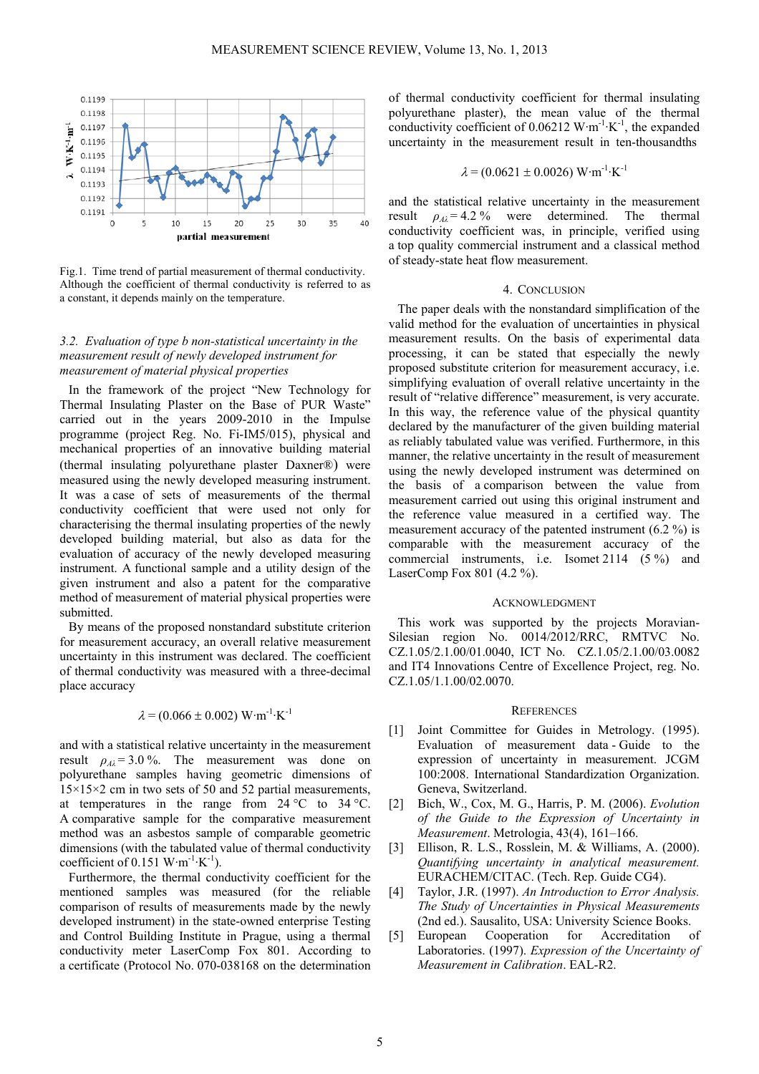

Fig.1. Time trend of partial measurement of thermal conductivity. Although the coefficient of thermal conductivity is referred to as a constant, it depends mainly on the temperature.

## *3.2. Evaluation of type b non-statistical uncertainty in the measurement result of newly developed instrument for measurement of material physical properties*

In the framework of the project "New Technology for Thermal Insulating Plaster on the Base of PUR Waste" carried out in the years 2009-2010 in the Impulse programme (project Reg. No. Fi-IM5/015), physical and mechanical properties of an innovative building material (thermal insulating polyurethane plaster Daxner®) were measured using the newly developed measuring instrument. It was a case of sets of measurements of the thermal conductivity coefficient that were used not only for characterising the thermal insulating properties of the newly developed building material, but also as data for the evaluation of accuracy of the newly developed measuring instrument. A functional sample and a utility design of the given instrument and also a patent for the comparative method of measurement of material physical properties were submitted.

By means of the proposed nonstandard substitute criterion for measurement accuracy, an overall relative measurement uncertainty in this instrument was declared. The coefficient of thermal conductivity was measured with a three-decimal place accuracy

## $\lambda = (0.066 \pm 0.002) \text{ W} \cdot \text{m}^{-1} \cdot \text{K}^{-1}$

and with a statistical relative uncertainty in the measurement result  $\rho_{A\lambda} = 3.0$  %. The measurement was done on polyurethane samples having geometric dimensions of 15×15×2 cm in two sets of 50 and 52 partial measurements, at temperatures in the range from  $24^{\circ}$ C to  $34^{\circ}$ C. A comparative sample for the comparative measurement method was an asbestos sample of comparable geometric dimensions (with the tabulated value of thermal conductivity coefficient of 0.151 W·m<sup>-1</sup>·K<sup>-1</sup>).

Furthermore, the thermal conductivity coefficient for the mentioned samples was measured (for the reliable comparison of results of measurements made by the newly developed instrument) in the state-owned enterprise Testing and Control Building Institute in Prague, using a thermal conductivity meter LaserComp Fox 801. According to a certificate (Protocol No. 070-038168 on the determination

of thermal conductivity coefficient for thermal insulating polyurethane plaster), the mean value of the thermal conductivity coefficient of  $0.06212 \text{ W} \cdot \text{m}^{-1} \cdot \text{K}^{-1}$ , the expanded uncertainty in the measurement result in ten-thousandths

$$
\lambda = (0.0621 \pm 0.0026) W \cdot m^{-1} \cdot K^{-1}
$$

and the statistical relative uncertainty in the measurement result  $\rho_{A\lambda} = 4.2 \%$  were determined. The thermal conductivity coefficient was, in principle, verified using a top quality commercial instrument and a classical method of steady-state heat flow measurement.

#### 4. CONCLUSION

The paper deals with the nonstandard simplification of the valid method for the evaluation of uncertainties in physical measurement results. On the basis of experimental data processing, it can be stated that especially the newly proposed substitute criterion for measurement accuracy, i.e. simplifying evaluation of overall relative uncertainty in the result of "relative difference" measurement, is very accurate. In this way, the reference value of the physical quantity declared by the manufacturer of the given building material as reliably tabulated value was verified. Furthermore, in this manner, the relative uncertainty in the result of measurement using the newly developed instrument was determined on the basis of a comparison between the value from measurement carried out using this original instrument and the reference value measured in a certified way. The measurement accuracy of the patented instrument (6.2 %) is comparable with the measurement accuracy of the commercial instruments, i.e. Isomet 2114 (5 %) and LaserComp Fox 801 (4.2 %).

#### ACKNOWLEDGMENT

This work was supported by the projects Moravian-Silesian region No. 0014/2012/RRC, RMTVC No. CZ.1.05/2.1.00/01.0040, ICT No. CZ.1.05/2.1.00/03.0082 and IT4 Innovations Centre of Excellence Project, reg. No. CZ.1.05/1.1.00/02.0070.

## **REFERENCES**

- [1] Joint Committee for Guides in Metrology. (1995). Evaluation of measurement data - Guide to the expression of uncertainty in measurement. JCGM 100:2008. International Standardization Organization. Geneva, Switzerland.
- [2] Bich, W., Cox, M. G., Harris, P. M. (2006). *Evolution of the Guide to the Expression of Uncertainty in Measurement*. Metrologia, 43(4), 161–166.
- [3] Ellison, R. L.S., Rosslein, M. & Williams, A. (2000). *Quantifying uncertainty in analytical measurement.* EURACHEM/CITAC. (Tech. Rep. Guide CG4).
- [4] Taylor, J.R. (1997). *An Introduction to Error Analysis. The Study of Uncertainties in Physical Measurements* (2nd ed.). Sausalito, USA: University Science Books.
- [5] European Cooperation for Accreditation of Laboratories. (1997). *Expression of the Uncertainty of Measurement in Calibration*. EAL-R2.